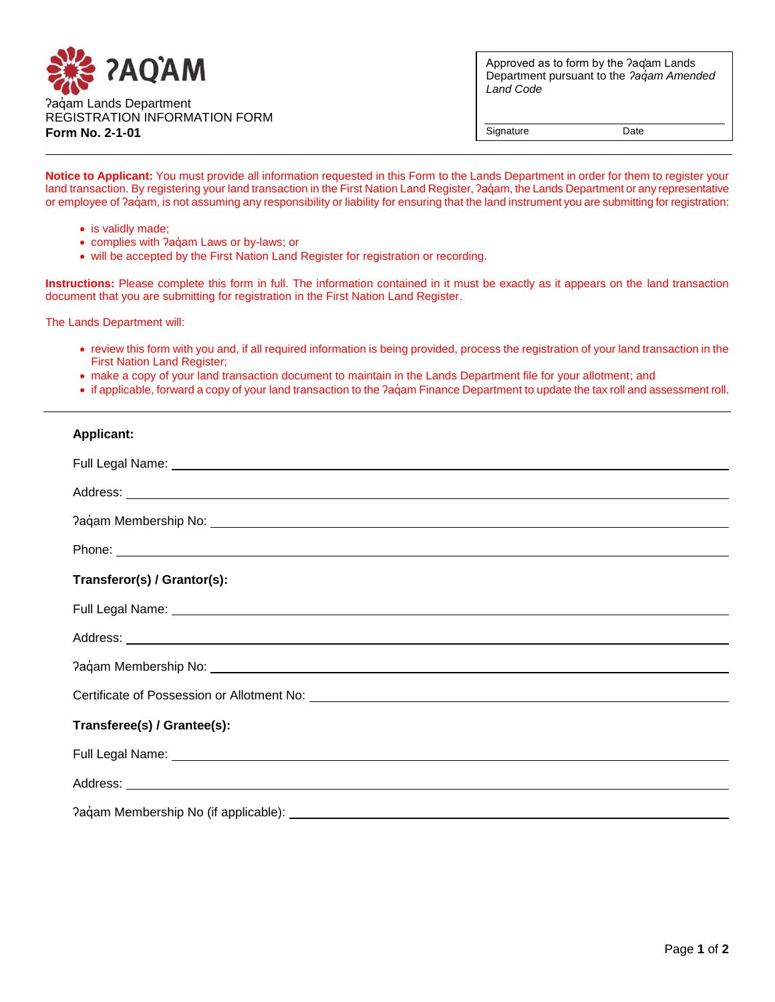

Approved as to form by the ʔaq̓am Lands Department pursuant to the *ʔaq̓am Amended Land Code*

Signature Date

**Notice to Applicant:** You must provide all information requested in this Form to the Lands Department in order for them to register your land transaction. By registering your land transaction in the First Nation Land Register, ?aqum, the Lands Department or any representative or employee of ?aq̓am, is not assuming any responsibility or liability for ensuring that the land instrument you are submitting for registration:

- is validly made;
- complies with ?aq̓am Laws or by-laws; or
- will be accepted by the First Nation Land Register for registration or recording.

**Instructions:** Please complete this form in full. The information contained in it must be exactly as it appears on the land transaction document that you are submitting for registration in the First Nation Land Register.

The Lands Department will:

- review this form with you and, if all required information is being provided, process the registration of your land transaction in the First Nation Land Register;
- make a copy of your land transaction document to maintain in the Lands Department file for your allotment; and
- if applicable, forward a copy of your land transaction to the ?aq̓am Finance Department to update the tax roll and assessment roll.

| <b>Applicant:</b>                                                                                                                                                                                                                    |  |  |  |
|--------------------------------------------------------------------------------------------------------------------------------------------------------------------------------------------------------------------------------------|--|--|--|
| Full Legal Name: <u>Name: Alexander Alexander Alexander Alexander Alexander Alexander Alexander Alexander Alexander Alexander Alexander Alexander Alexander Alexander Alexander Alexander Alexander Alexander Alexander Alexande</u> |  |  |  |
|                                                                                                                                                                                                                                      |  |  |  |
|                                                                                                                                                                                                                                      |  |  |  |
|                                                                                                                                                                                                                                      |  |  |  |
| Transferor(s) / Grantor(s):                                                                                                                                                                                                          |  |  |  |
| Full Legal Name: <u>Name: Alexander Communication of the State of Alexander Communication</u>                                                                                                                                        |  |  |  |
|                                                                                                                                                                                                                                      |  |  |  |
|                                                                                                                                                                                                                                      |  |  |  |
|                                                                                                                                                                                                                                      |  |  |  |
| Transferee(s) / Grantee(s):                                                                                                                                                                                                          |  |  |  |
| Full Legal Name: Name and Separate and Separate and Separate and Separate and Separate and Separate and Separate and Separate and Separate and Separate and Separate and Separate and Separate and Separate and Separate and S       |  |  |  |
|                                                                                                                                                                                                                                      |  |  |  |
|                                                                                                                                                                                                                                      |  |  |  |